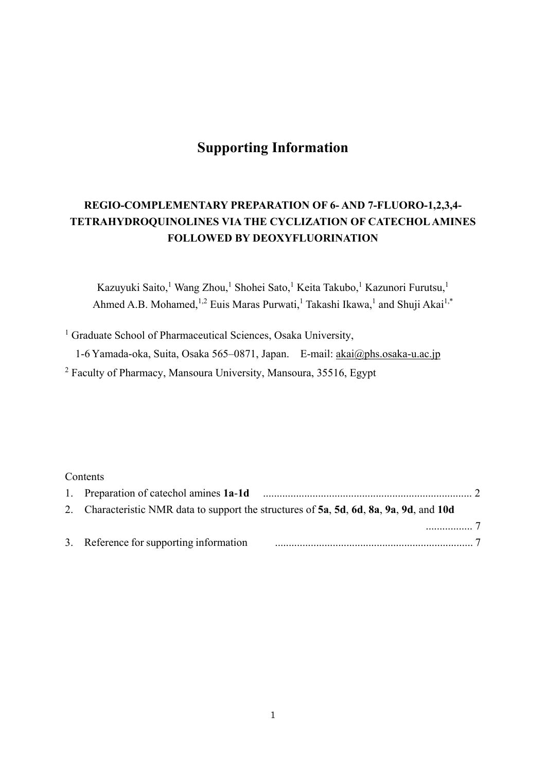# **Supporting Information**

## **REGIO-COMPLEMENTARY PREPARATION OF 6- AND 7-FLUORO-1,2,3,4- TETRAHYDROQUINOLINES VIA THE CYCLIZATION OF CATECHOL AMINES FOLLOWED BY DEOXYFLUORINATION**

Kazuyuki Saito,<sup>1</sup> Wang Zhou,<sup>1</sup> Shohei Sato,<sup>1</sup> Keita Takubo,<sup>1</sup> Kazunori Furutsu,<sup>1</sup> Ahmed A.B. Mohamed,<sup>1,2</sup> Euis Maras Purwati,<sup>1</sup> Takashi Ikawa,<sup>1</sup> and Shuji Akai<sup>1,\*</sup>

<sup>1</sup> Graduate School of Pharmaceutical Sciences, Osaka University,

1-6 Yamada-oka, Suita, Osaka 565–0871, Japan. E-mail: akai@phs.osaka-u.ac.jp

<sup>2</sup> Faculty of Pharmacy, Mansoura University, Mansoura, 35516, Egypt

#### **Contents**

| 2. Characteristic NMR data to support the structures of 5a, 5d, 6d, 8a, 9a, 9d, and 10d |     |
|-----------------------------------------------------------------------------------------|-----|
|                                                                                         | . 7 |
| 3. Reference for supporting information                                                 |     |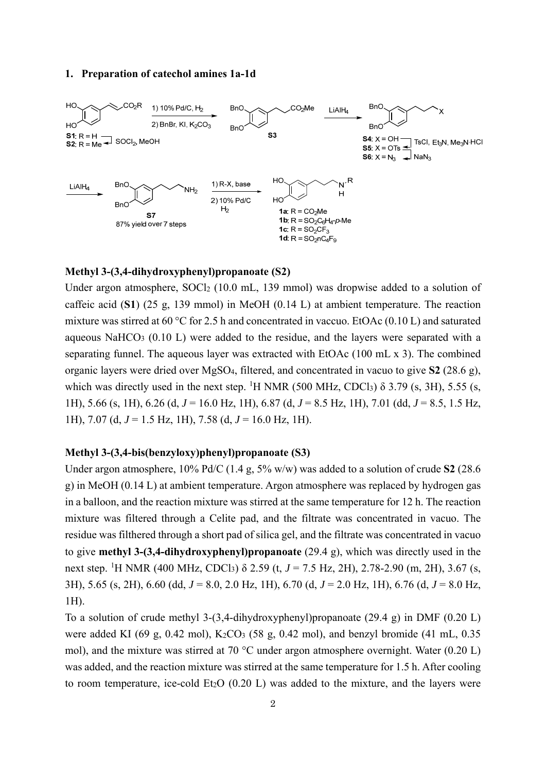#### **1. Preparation of catechol amines 1a-1d**



#### **Methyl 3-(3,4-dihydroxyphenyl)propanoate (S2)**

Under argon atmosphere, SOCl<sub>2</sub> (10.0 mL, 139 mmol) was dropwise added to a solution of caffeic acid (**S1**) (25 g, 139 mmol) in MeOH (0.14 L) at ambient temperature. The reaction mixture was stirred at 60 °C for 2.5 h and concentrated in vaccuo. EtOAc (0.10 L) and saturated aqueous NaHCO3 (0.10 L) were added to the residue, and the layers were separated with a separating funnel. The aqueous layer was extracted with EtOAc (100 mL x 3). The combined organic layers were dried over MgSO4, filtered, and concentrated in vacuo to give **S2** (28.6 g), which was directly used in the next step. <sup>1</sup>H NMR (500 MHz, CDCl<sub>3</sub>)  $\delta$  3.79 (s, 3H), 5.55 (s, 1H), 5.66 (s, 1H), 6.26 (d, *J* = 16.0 Hz, 1H), 6.87 (d, *J* = 8.5 Hz, 1H), 7.01 (dd, *J* = 8.5, 1.5 Hz, 1H), 7.07 (d, *J* = 1.5 Hz, 1H), 7.58 (d, *J* = 16.0 Hz, 1H).

#### **Methyl 3-(3,4-bis(benzyloxy)phenyl)propanoate (S3)**

Under argon atmosphere, 10% Pd/C (1.4 g, 5% w/w) was added to a solution of crude **S2** (28.6 g) in MeOH (0.14 L) at ambient temperature. Argon atmosphere was replaced by hydrogen gas in a balloon, and the reaction mixture was stirred at the same temperature for 12 h. The reaction mixture was filtered through a Celite pad, and the filtrate was concentrated in vacuo. The residue was filthered through a short pad of silica gel, and the filtrate was concentrated in vacuo to give **methyl 3-(3,4-dihydroxyphenyl)propanoate** (29.4 g), which was directly used in the next step. <sup>1</sup>H NMR (400 MHz, CDCl<sub>3</sub>) δ 2.59 (t, *J* = 7.5 Hz, 2H), 2.78-2.90 (m, 2H), 3.67 (s, 3H), 5.65 (s, 2H), 6.60 (dd, *J* = 8.0, 2.0 Hz, 1H), 6.70 (d, *J* = 2.0 Hz, 1H), 6.76 (d, *J* = 8.0 Hz, 1H).

To a solution of crude methyl 3-(3,4-dihydroxyphenyl)propanoate (29.4 g) in DMF (0.20 L) were added KI (69 g, 0.42 mol), K<sub>2</sub>CO<sub>3</sub> (58 g, 0.42 mol), and benzyl bromide (41 mL, 0.35 mol), and the mixture was stirred at 70 °C under argon atmosphere overnight. Water (0.20 L) was added, and the reaction mixture was stirred at the same temperature for 1.5 h. After cooling to room temperature, ice-cold Et<sub>2</sub>O  $(0.20 \text{ L})$  was added to the mixture, and the layers were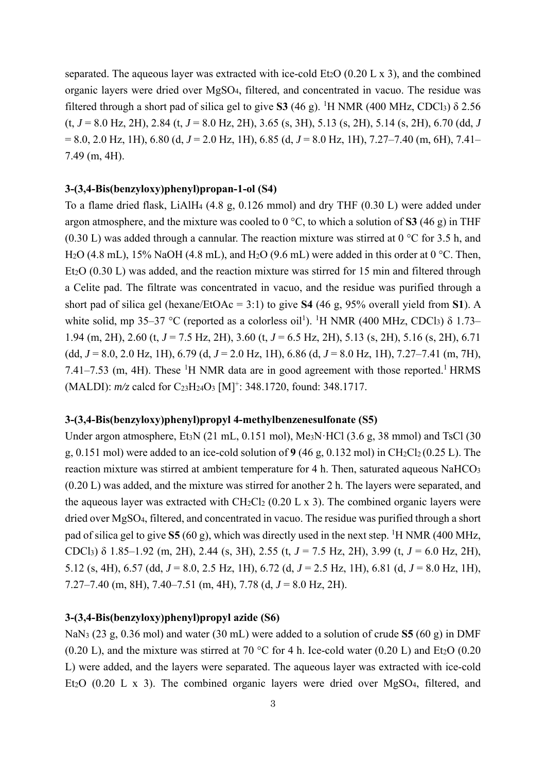separated. The aqueous layer was extracted with ice-cold Et<sub>2</sub>O (0.20 L x 3), and the combined organic layers were dried over MgSO4, filtered, and concentrated in vacuo. The residue was filtered through a short pad of silica gel to give **S3** (46 g). <sup>1</sup>H NMR (400 MHz, CDCl<sub>3</sub>)  $\delta$  2.56 (t, *J* = 8.0 Hz, 2H), 2.84 (t, *J* = 8.0 Hz, 2H), 3.65 (s, 3H), 5.13 (s, 2H), 5.14 (s, 2H), 6.70 (dd, *J* = 8.0, 2.0 Hz, 1H), 6.80 (d, *J* = 2.0 Hz, 1H), 6.85 (d, *J* = 8.0 Hz, 1H), 7.27–7.40 (m, 6H), 7.41– 7.49 (m, 4H).

## **3-(3,4-Bis(benzyloxy)phenyl)propan-1-ol (S4)**

To a flame dried flask, LiAlH4 (4.8 g, 0.126 mmol) and dry THF (0.30 L) were added under argon atmosphere, and the mixture was cooled to 0 °C, to which a solution of **S3** (46 g) in THF (0.30 L) was added through a cannular. The reaction mixture was stirred at  $0^{\circ}$ C for 3.5 h, and H<sub>2</sub>O (4.8 mL), 15% NaOH (4.8 mL), and H<sub>2</sub>O (9.6 mL) were added in this order at 0 °C. Then, Et<sub>2</sub>O (0.30 L) was added, and the reaction mixture was stirred for 15 min and filtered through a Celite pad. The filtrate was concentrated in vacuo, and the residue was purified through a short pad of silica gel (hexane/EtOAc = 3:1) to give **S4** (46 g, 95% overall yield from **S1**). A white solid, mp 35–37 °C (reported as a colorless oil<sup>1</sup>). <sup>1</sup>H NMR (400 MHz, CDCl<sub>3</sub>)  $\delta$  1.73– 1.94 (m, 2H), 2.60 (t, *J* = 7.5 Hz, 2H), 3.60 (t, *J* = 6.5 Hz, 2H), 5.13 (s, 2H), 5.16 (s, 2H), 6.71 (dd, *J* = 8.0, 2.0 Hz, 1H), 6.79 (d, *J* = 2.0 Hz, 1H), 6.86 (d, *J* = 8.0 Hz, 1H), 7.27–7.41 (m, 7H), 7.41–7.53 (m, 4H). These  ${}^{1}$ H NMR data are in good agreement with those reported.<sup>1</sup> HRMS (MALDI):  $m/z$  calcd for C<sub>23</sub>H<sub>24</sub>O<sub>3</sub> [M]<sup>+</sup>: 348.1720, found: 348.1717.

#### **3-(3,4-Bis(benzyloxy)phenyl)propyl 4-methylbenzenesulfonate (S5)**

Under argon atmosphere, Et<sub>3</sub>N (21 mL, 0.151 mol), Me<sub>3</sub>N $\cdot$ HCl (3.6 g, 38 mmol) and TsCl (30 g,  $0.151$  mol) were added to an ice-cold solution of  $9(46$  g,  $0.132$  mol) in CH<sub>2</sub>Cl<sub>2</sub>( $0.25$  L). The reaction mixture was stirred at ambient temperature for 4 h. Then, saturated aqueous NaHCO<sub>3</sub> (0.20 L) was added, and the mixture was stirred for another 2 h. The layers were separated, and the aqueous layer was extracted with  $CH_2Cl_2$  (0.20 L x 3). The combined organic layers were dried over MgSO4, filtered, and concentrated in vacuo. The residue was purified through a short pad of silica gel to give S5 (60 g), which was directly used in the next step. <sup>1</sup>H NMR (400 MHz, CDCl3) δ 1.85–1.92 (m, 2H), 2.44 (s, 3H), 2.55 (t, *J* = 7.5 Hz, 2H), 3.99 (t, *J* = 6.0 Hz, 2H), 5.12 (s, 4H), 6.57 (dd, *J* = 8.0, 2.5 Hz, 1H), 6.72 (d, *J* = 2.5 Hz, 1H), 6.81 (d, *J* = 8.0 Hz, 1H), 7.27–7.40 (m, 8H), 7.40–7.51 (m, 4H), 7.78 (d, *J* = 8.0 Hz, 2H).

#### **3-(3,4-Bis(benzyloxy)phenyl)propyl azide (S6)**

NaN3 (23 g, 0.36 mol) and water (30 mL) were added to a solution of crude **S5** (60 g) in DMF (0.20 L), and the mixture was stirred at 70 °C for 4 h. Ice-cold water (0.20 L) and Et<sub>2</sub>O (0.20 L) were added, and the layers were separated. The aqueous layer was extracted with ice-cold Et<sub>2</sub>O (0.20 L x 3). The combined organic layers were dried over MgSO<sub>4</sub>, filtered, and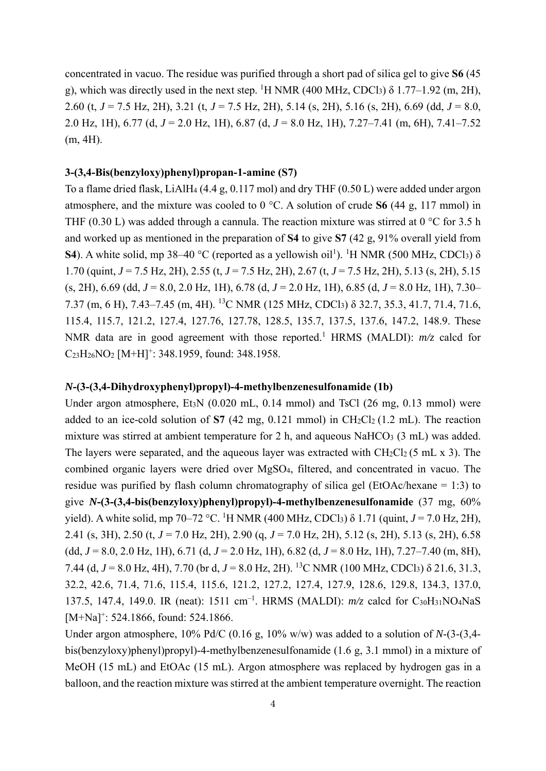concentrated in vacuo. The residue was purified through a short pad of silica gel to give **S6** (45 g), which was directly used in the next step. <sup>1</sup>H NMR (400 MHz, CDCl<sub>3</sub>)  $\delta$  1.77–1.92 (m, 2H), 2.60 (t, *J* = 7.5 Hz, 2H), 3.21 (t, *J* = 7.5 Hz, 2H), 5.14 (s, 2H), 5.16 (s, 2H), 6.69 (dd, *J* = 8.0, 2.0 Hz, 1H), 6.77 (d, *J* = 2.0 Hz, 1H), 6.87 (d, *J* = 8.0 Hz, 1H), 7.27–7.41 (m, 6H), 7.41–7.52 (m, 4H).

#### **3-(3,4-Bis(benzyloxy)phenyl)propan-1-amine (S7)**

To a flame dried flask, LiAlH4 (4.4 g, 0.117 mol) and dry THF (0.50 L) were added under argon atmosphere, and the mixture was cooled to 0 °C. A solution of crude **S6** (44 g, 117 mmol) in THF (0.30 L) was added through a cannula. The reaction mixture was stirred at 0  $\degree$ C for 3.5 h and worked up as mentioned in the preparation of **S4** to give **S7** (42 g, 91% overall yield from **S4**). A white solid, mp 38–40 °C (reported as a yellowish oil<sup>1</sup>). <sup>1</sup>H NMR (500 MHz, CDCl<sub>3</sub>)  $\delta$ 1.70 (quint, *J* = 7.5 Hz, 2H), 2.55 (t, *J* = 7.5 Hz, 2H), 2.67 (t, *J* = 7.5 Hz, 2H), 5.13 (s, 2H), 5.15 (s, 2H), 6.69 (dd, *J* = 8.0, 2.0 Hz, 1H), 6.78 (d, *J* = 2.0 Hz, 1H), 6.85 (d, *J* = 8.0 Hz, 1H), 7.30– 7.37 (m, 6 H), 7.43–7.45 (m, 4H). 13C NMR (125 MHz, CDCl3) δ 32.7, 35.3, 41.7, 71.4, 71.6, 115.4, 115.7, 121.2, 127.4, 127.76, 127.78, 128.5, 135.7, 137.5, 137.6, 147.2, 148.9. These NMR data are in good agreement with those reported.<sup>1</sup> HRMS (MALDI):  $m/z$  calcd for  $C_{23}H_{26}NO_2$  [M+H]<sup>+</sup>: 348.1959, found: 348.1958.

## *N***-(3-(3,4-Dihydroxyphenyl)propyl)-4-methylbenzenesulfonamide (1b)**

Under argon atmosphere, Et3N (0.020 mL, 0.14 mmol) and TsCl (26 mg, 0.13 mmol) were added to an ice-cold solution of  $S7$  (42 mg, 0.121 mmol) in CH<sub>2</sub>Cl<sub>2</sub> (1.2 mL). The reaction mixture was stirred at ambient temperature for 2 h, and aqueous NaHCO<sub>3</sub> (3 mL) was added. The layers were separated, and the aqueous layer was extracted with  $CH_2Cl_2$  (5 mL x 3). The combined organic layers were dried over MgSO4, filtered, and concentrated in vacuo. The residue was purified by flash column chromatography of silica gel (EtOAc/hexane = 1:3) to give *N***-(3-(3,4-bis(benzyloxy)phenyl)propyl)-4-methylbenzenesulfonamide** (37 mg, 60% yield). A white solid, mp 70–72 °C. <sup>1</sup>H NMR (400 MHz, CDCl<sub>3</sub>)  $\delta$  1.71 (quint, *J* = 7.0 Hz, 2H), 2.41 (s, 3H), 2.50 (t, *J* = 7.0 Hz, 2H), 2.90 (q, *J* = 7.0 Hz, 2H), 5.12 (s, 2H), 5.13 (s, 2H), 6.58 (dd, *J* = 8.0, 2.0 Hz, 1H), 6.71 (d, *J* = 2.0 Hz, 1H), 6.82 (d, *J* = 8.0 Hz, 1H), 7.27–7.40 (m, 8H), 7.44 (d, *J* = 8.0 Hz, 4H), 7.70 (br d, *J* = 8.0 Hz, 2H). 13C NMR (100 MHz, CDCl3) δ 21.6, 31.3, 32.2, 42.6, 71.4, 71.6, 115.4, 115.6, 121.2, 127.2, 127.4, 127.9, 128.6, 129.8, 134.3, 137.0, 137.5, 147.4, 149.0. IR (neat): 1511 cm–1. HRMS (MALDI): *m/z* calcd for C30H31NO4NaS  $[M+Na]$ <sup>+</sup>: 524.1866, found: 524.1866.

Under argon atmosphere, 10% Pd/C (0.16 g, 10% w/w) was added to a solution of *N*-(3-(3,4 bis(benzyloxy)phenyl)propyl)-4-methylbenzenesulfonamide (1.6 g, 3.1 mmol) in a mixture of MeOH (15 mL) and EtOAc (15 mL). Argon atmosphere was replaced by hydrogen gas in a balloon, and the reaction mixture was stirred at the ambient temperature overnight. The reaction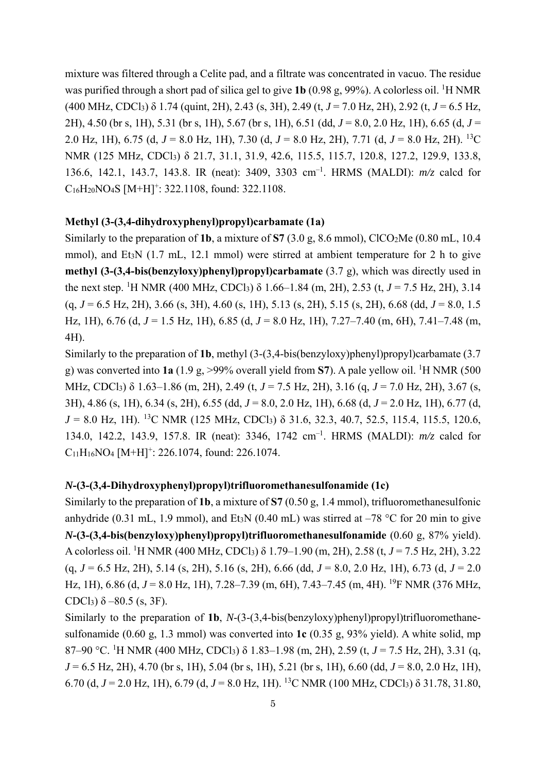mixture was filtered through a Celite pad, and a filtrate was concentrated in vacuo. The residue was purified through a short pad of silica gel to give 1b (0.98 g, 99%). A colorless oil. <sup>1</sup>H NMR (400 MHz, CDCl3) δ 1.74 (quint, 2H), 2.43 (s, 3H), 2.49 (t, *J* = 7.0 Hz, 2H), 2.92 (t, *J* = 6.5 Hz, 2H), 4.50 (br s, 1H), 5.31 (br s, 1H), 5.67 (br s, 1H), 6.51 (dd, *J* = 8.0, 2.0 Hz, 1H), 6.65 (d, *J* = 2.0 Hz, 1H), 6.75 (d, *J* = 8.0 Hz, 1H), 7.30 (d, *J* = 8.0 Hz, 2H), 7.71 (d, *J* = 8.0 Hz, 2H). 13C NMR (125 MHz, CDCl<sub>3</sub>) δ 21.7, 31.1, 31.9, 42.6, 115.5, 115.7, 120.8, 127.2, 129.9, 133.8, 136.6, 142.1, 143.7, 143.8. IR (neat): 3409, 3303 cm–1. HRMS (MALDI): *m/z* calcd for  $C_{16}H_{20}NO_4S$  [M+H]<sup>+</sup>: 322.1108, found: 322.1108.

## **Methyl (3-(3,4-dihydroxyphenyl)propyl)carbamate (1a)**

Similarly to the preparation of **1b**, a mixture of **S7** (3.0 g, 8.6 mmol), ClCO2Me (0.80 mL, 10.4 mmol), and Et<sub>3</sub>N (1.7 mL, 12.1 mmol) were stirred at ambient temperature for 2 h to give **methyl (3-(3,4-bis(benzyloxy)phenyl)propyl)carbamate** (3.7 g), which was directly used in the next step. <sup>1</sup>H NMR (400 MHz, CDCl<sub>3</sub>)  $\delta$  1.66–1.84 (m, 2H), 2.53 (t, *J* = 7.5 Hz, 2H), 3.14 (q, *J* = 6.5 Hz, 2H), 3.66 (s, 3H), 4.60 (s, 1H), 5.13 (s, 2H), 5.15 (s, 2H), 6.68 (dd, *J* = 8.0, 1.5 Hz, 1H), 6.76 (d, *J* = 1.5 Hz, 1H), 6.85 (d, *J* = 8.0 Hz, 1H), 7.27–7.40 (m, 6H), 7.41–7.48 (m, 4H).

Similarly to the preparation of **1b**, methyl (3-(3,4-bis(benzyloxy)phenyl)propyl)carbamate (3.7 g) was converted into  $1a(1.9 g, >99\%$  overall yield from S7). A pale yellow oil. <sup>1</sup>H NMR (500 MHz, CDCl3) δ 1.63–1.86 (m, 2H), 2.49 (t, *J* = 7.5 Hz, 2H), 3.16 (q, *J* = 7.0 Hz, 2H), 3.67 (s, 3H), 4.86 (s, 1H), 6.34 (s, 2H), 6.55 (dd, *J* = 8.0, 2.0 Hz, 1H), 6.68 (d, *J* = 2.0 Hz, 1H), 6.77 (d, *J* = 8.0 Hz, 1H). 13C NMR (125 MHz, CDCl3) δ 31.6, 32.3, 40.7, 52.5, 115.4, 115.5, 120.6, 134.0, 142.2, 143.9, 157.8. IR (neat): 3346, 1742 cm–1. HRMS (MALDI): *m/z* calcd for  $C_{11}H_{16}NO4$  [M+H]<sup>+</sup>: 226.1074, found: 226.1074.

#### *N***-(3-(3,4-Dihydroxyphenyl)propyl)trifluoromethanesulfonamide (1c)**

Similarly to the preparation of **1b**, a mixture of **S7** (0.50 g, 1.4 mmol), trifluoromethanesulfonic anhydride (0.31 mL, 1.9 mmol), and Et<sub>3</sub>N (0.40 mL) was stirred at  $-78$  °C for 20 min to give *N***-(3-(3,4-bis(benzyloxy)phenyl)propyl)trifluoromethanesulfonamide** (0.60 g, 87% yield). A colorless oil. <sup>1</sup>H NMR (400 MHz, CDCl<sub>3</sub>) δ 1.79–1.90 (m, 2H), 2.58 (t, *J* = 7.5 Hz, 2H), 3.22 (q, *J* = 6.5 Hz, 2H), 5.14 (s, 2H), 5.16 (s, 2H), 6.66 (dd, *J* = 8.0, 2.0 Hz, 1H), 6.73 (d, *J* = 2.0 Hz, 1H), 6.86 (d, J = 8.0 Hz, 1H), 7.28–7.39 (m, 6H), 7.43–7.45 (m, 4H). <sup>19</sup>F NMR (376 MHz, CDCl<sub>3</sub>)  $\delta$  –80.5 (s, 3F).

Similarly to the preparation of 1b, *N*-(3-(3,4-bis(benzyloxy)phenyl)propyl)trifluoromethanesulfonamide (0.60 g, 1.3 mmol) was converted into **1c** (0.35 g, 93% yield). A white solid, mp 87–90 °C. <sup>1</sup> H NMR (400 MHz, CDCl3) δ 1.83–1.98 (m, 2H), 2.59 (t, *J* = 7.5 Hz, 2H), 3.31 (q, *J* = 6.5 Hz, 2H), 4.70 (br s, 1H), 5.04 (br s, 1H), 5.21 (br s, 1H), 6.60 (dd, *J* = 8.0, 2.0 Hz, 1H), 6.70 (d, *J* = 2.0 Hz, 1H), 6.79 (d, *J* = 8.0 Hz, 1H). 13C NMR (100 MHz, CDCl3) δ 31.78, 31.80,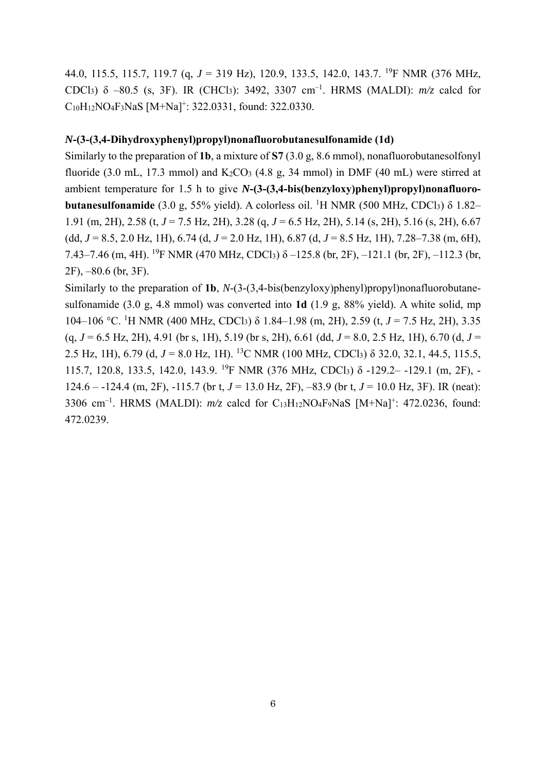44.0, 115.5, 115.7, 119.7 (q, *J* = 319 Hz), 120.9, 133.5, 142.0, 143.7. 19F NMR (376 MHz, CDCl3) δ –80.5 (s, 3F). IR (CHCl3): 3492, 3307 cm–1. HRMS (MALDI): *m/z* calcd for C<sub>10</sub>H<sub>12</sub>NO<sub>4</sub>F<sub>3</sub>NaS [M+Na]<sup>+</sup>: 322.0331, found: 322.0330.

## *N***-(3-(3,4-Dihydroxyphenyl)propyl)nonafluorobutanesulfonamide (1d)**

Similarly to the preparation of **1b**, a mixture of **S7** (3.0 g, 8.6 mmol), nonafluorobutanesolfonyl fluoride (3.0 mL, 17.3 mmol) and  $K_2CO_3$  (4.8 g, 34 mmol) in DMF (40 mL) were stirred at ambient temperature for 1.5 h to give *N***-(3-(3,4-bis(benzyloxy)phenyl)propyl)nonafluorobutanesulfonamide** (3.0 g, 55% yield). A colorless oil. <sup>1</sup>H NMR (500 MHz, CDCl<sub>3</sub>) δ 1.82– 1.91 (m, 2H), 2.58 (t, *J* = 7.5 Hz, 2H), 3.28 (q, *J* = 6.5 Hz, 2H), 5.14 (s, 2H), 5.16 (s, 2H), 6.67 (dd, *J* = 8.5, 2.0 Hz, 1H), 6.74 (d, *J* = 2.0 Hz, 1H), 6.87 (d, *J* = 8.5 Hz, 1H), 7.28–7.38 (m, 6H), 7.43–7.46 (m, 4H). <sup>19</sup>F NMR (470 MHz, CDCl<sub>3</sub>)  $\delta$  –125.8 (br, 2F), –121.1 (br, 2F), –112.3 (br, 2F), –80.6 (br, 3F).

Similarly to the preparation of **1b**, *N*-(3-(3,4-bis(benzyloxy)phenyl)propyl)nonafluorobutanesulfonamide (3.0 g, 4.8 mmol) was converted into **1d** (1.9 g, 88% yield). A white solid, mp 104–106 °C. <sup>1</sup> H NMR (400 MHz, CDCl3) δ 1.84–1.98 (m, 2H), 2.59 (t, *J* = 7.5 Hz, 2H), 3.35 (q, *J* = 6.5 Hz, 2H), 4.91 (br s, 1H), 5.19 (br s, 2H), 6.61 (dd, *J* = 8.0, 2.5 Hz, 1H), 6.70 (d, *J* = 2.5 Hz, 1H), 6.79 (d, *J* = 8.0 Hz, 1H). 13C NMR (100 MHz, CDCl3) δ 32.0, 32.1, 44.5, 115.5, 115.7, 120.8, 133.5, 142.0, 143.9. 19F NMR (376 MHz, CDCl3) δ -129.2– -129.1 (m, 2F), - 124.6 – -124.4 (m, 2F), -115.7 (br t, *J* = 13.0 Hz, 2F), –83.9 (br t, *J* = 10.0 Hz, 3F). IR (neat): 3306 cm–1. HRMS (MALDI): *m/z* calcd for C13H12NO4F9NaS [M+Na]+: 472.0236, found: 472.0239.